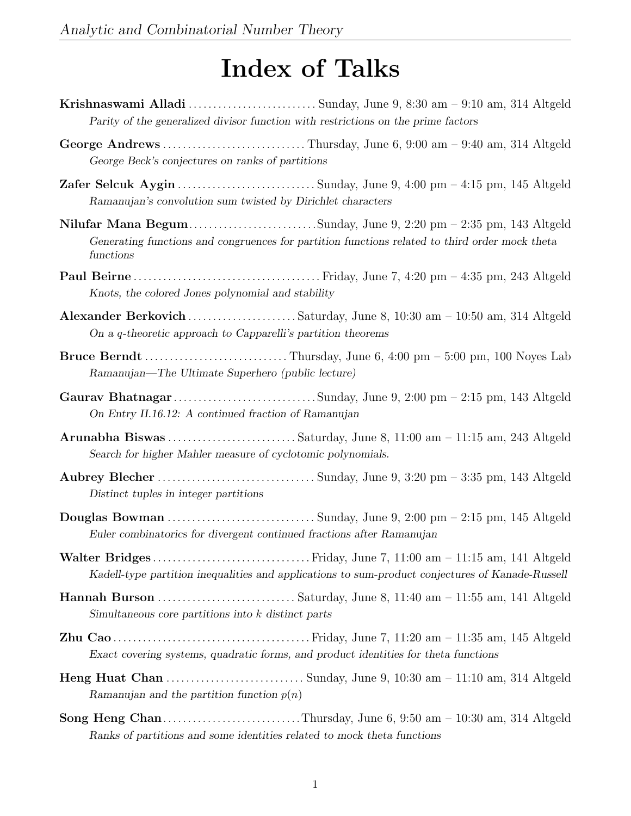## Index of Talks

- Krishnaswami Alladi . . . . . . . . . . . . . . . . . . . . . . . . . . Sunday, June 9, 8:30 am 9:10 am, 314 Altgeld Parity of the generalized divisor function with restrictions on the prime factors
- George Andrews . . . . . . . . . . . . . . . . . . . . . . . . . . . . . Thursday, June 6, 9:00 am 9:40 am, 314 Altgeld George Beck's conjectures on ranks of partitions
- Zafer Selcuk Aygin . . . . . . . . . . . . . . . . . . . . . . . . . . . . Sunday, June 9, 4:00 pm 4:15 pm, 145 Altgeld Ramanujan's convolution sum twisted by Dirichlet characters
- Nilufar Mana Begum................................Sunday, June 9, 2:20 pm 2:35 pm, 143 Altgeld Generating functions and congruences for partition functions related to third order mock theta functions
- Paul Beirne . . . . . . . . . . . . . . . . . . . . . . . . . . . . . . . . . . . . . . Friday, June 7, 4:20 pm 4:35 pm, 243 Altgeld Knots, the colored Jones polynomial and stability
- Alexander Berkovich . . . . . . . . . . . . . . . . . . . . . . Saturday, June 8, 10:30 am 10:50 am, 314 Altgeld On a q-theoretic approach to Capparelli's partition theorems
- Bruce Berndt . . . . . . . . . . . . . . . . . . . . . . . . . . . . . Thursday, June 6, 4:00 pm 5:00 pm, 100 Noyes Lab Ramanujan—The Ultimate Superhero (public lecture)
- Gaurav Bhatnagar . . . . . . . . . . . . . . . . . . . . . . . . . . . . . Sunday, June 9, 2:00 pm 2:15 pm, 143 Altgeld On Entry II.16.12: A continued fraction of Ramanujan
- Arunabha Biswas . . . . . . . . . . . . . . . . . . . . . . . . . . Saturday, June 8, 11:00 am 11:15 am, 243 Altgeld Search for higher Mahler measure of cyclotomic polynomials.
- Aubrey Blecher . . . . . . . . . . . . . . . . . . . . . . . . . . . . . . . . Sunday, June 9, 3:20 pm 3:35 pm, 143 Altgeld Distinct tuples in integer partitions
- Douglas Bowman . . . . . . . . . . . . . . . . . . . . . . . . . . . . . . Sunday, June 9, 2:00 pm 2:15 pm, 145 Altgeld Euler combinatorics for divergent continued fractions after Ramanujan
- Walter Bridges . . . . . . . . . . . . . . . . . . . . . . . . . . . . . . . . Friday, June 7, 11:00 am 11:15 am, 141 Altgeld Kadell-type partition inequalities and applications to sum-product conjectures of Kanade-Russell
- Hannah Burson . . . . . . . . . . . . . . . . . . . . . . . . . . . . Saturday, June 8, 11:40 am 11:55 am, 141 Altgeld Simultaneous core partitions into k distinct parts
- Zhu Cao . . . . . . . . . . . . . . . . . . . . . . . . . . . . . . . . . . . . . . . . Friday, June 7, 11:20 am 11:35 am, 145 Altgeld Exact covering systems, quadratic forms, and product identities for theta functions
- Heng Huat Chan . . . . . . . . . . . . . . . . . . . . . . . . . . . . Sunday, June 9, 10:30 am 11:10 am, 314 Altgeld Ramanujan and the partition function  $p(n)$
- Song Heng Chan. . . . . . . . . . . . . . . . . . . . . . . . . . . .Thursday, June 6, 9:50 am 10:30 am, 314 Altgeld Ranks of partitions and some identities related to mock theta functions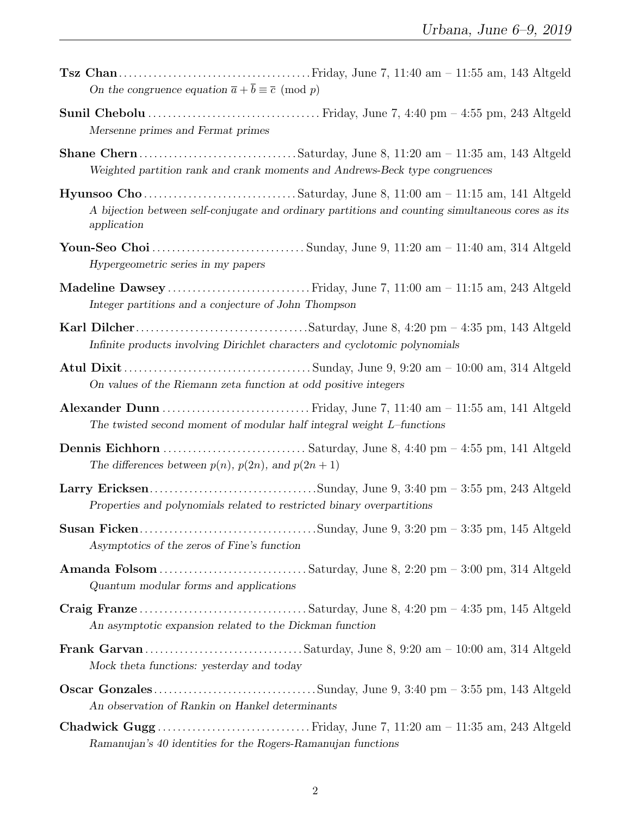| On the congruence equation $\bar{a} + \bar{b} \equiv \bar{c} \pmod{p}$                                                         |
|--------------------------------------------------------------------------------------------------------------------------------|
| Mersenne primes and Fermat primes                                                                                              |
| Weighted partition rank and crank moments and Andrews-Beck type congruences                                                    |
| A bijection between self-conjugate and ordinary partitions and counting simultaneous cores as its<br>application               |
| Hypergeometric series in my papers                                                                                             |
| Madeline Dawsey  Friday, June 7, 11:00 am - 11:15 am, 243 Altgeld<br>Integer partitions and a conjecture of John Thompson      |
| Infinite products involving Dirichlet characters and cyclotomic polynomials                                                    |
| On values of the Riemann zeta function at odd positive integers                                                                |
| The twisted second moment of modular half integral weight $L$ -functions                                                       |
| The differences between $p(n)$ , $p(2n)$ , and $p(2n + 1)$                                                                     |
| Properties and polynomials related to restricted binary overpartitions                                                         |
| Asymptotics of the zeros of Fine's function                                                                                    |
| Quantum modular forms and applications                                                                                         |
| An asymptotic expansion related to the Dickman function                                                                        |
| Mock theta functions: yesterday and today                                                                                      |
| An observation of Rankin on Hankel determinants                                                                                |
| Chadwick Gugg Friday, June 7, 11:20 am - 11:35 am, 243 Altgeld<br>Ramanujan's 40 identities for the Rogers-Ramanujan functions |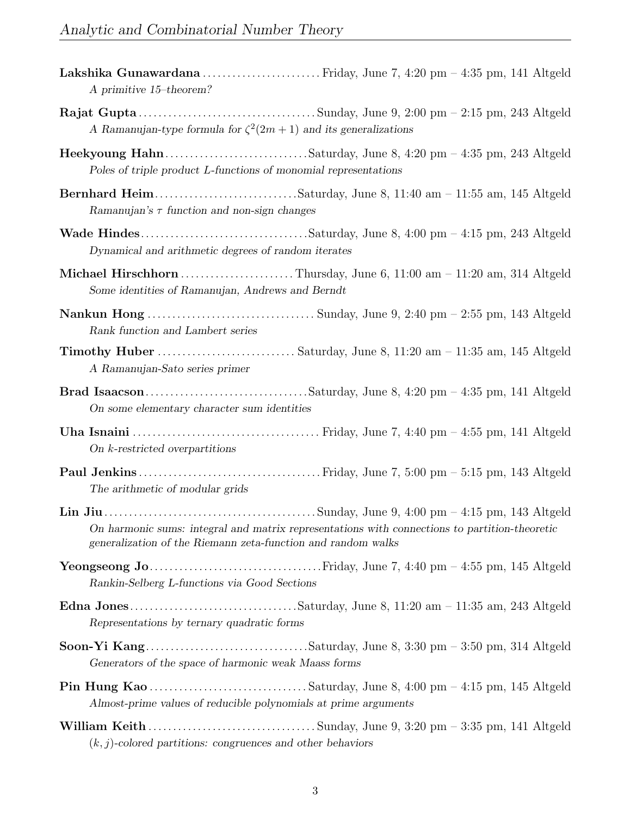| A primitive 15-theorem?                                                                                                                                       |
|---------------------------------------------------------------------------------------------------------------------------------------------------------------|
| A Ramanujan-type formula for $\zeta^2(2m+1)$ and its generalizations                                                                                          |
| Poles of triple product L-functions of monomial representations                                                                                               |
| Ramanujan's $\tau$ function and non-sign changes                                                                                                              |
| Dynamical and arithmetic degrees of random iterates                                                                                                           |
| Michael Hirschhorn  Thursday, June 6, 11:00 am - 11:20 am, 314 Altgeld<br>Some identities of Ramanujan, Andrews and Berndt                                    |
| Rank function and Lambert series                                                                                                                              |
| A Ramanujan-Sato series primer                                                                                                                                |
| On some elementary character sum identities                                                                                                                   |
| On $k$ -restricted overpartitions                                                                                                                             |
| The arithmetic of modular grids                                                                                                                               |
| On harmonic sums: integral and matrix representations with connections to partition-theoretic<br>generalization of the Riemann zeta-function and random walks |
| Rankin-Selberg L-functions via Good Sections                                                                                                                  |
| Representations by ternary quadratic forms                                                                                                                    |
| Generators of the space of harmonic weak Maass forms                                                                                                          |
| Almost-prime values of reducible polynomials at prime arguments                                                                                               |
| $(k, j)$ -colored partitions: congruences and other behaviors                                                                                                 |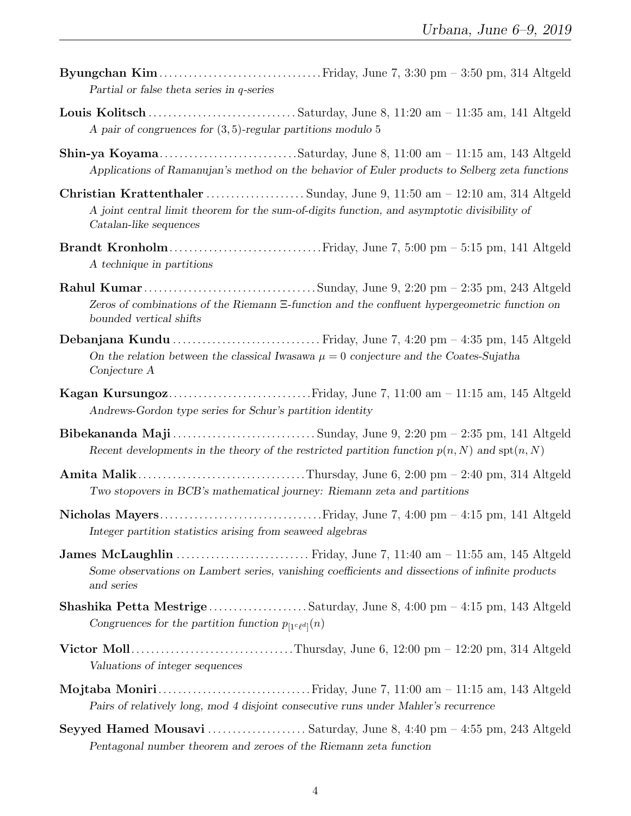| Urbana, June $b-9$ , 2019                                                                                                                                                                           |
|-----------------------------------------------------------------------------------------------------------------------------------------------------------------------------------------------------|
| Partial or false theta series in $q$ -series                                                                                                                                                        |
| A pair of congruences for $(3,5)$ -regular partitions modulo 5                                                                                                                                      |
| Applications of Ramanujan's method on the behavior of Euler products to Selberg zeta functions                                                                                                      |
| Christian Krattenthaler  Sunday, June 9, 11:50 am - 12:10 am, 314 Altgeld<br>A joint central limit theorem for the sum-of-digits function, and asymptotic divisibility of<br>Catalan-like sequences |
| A technique in partitions                                                                                                                                                                           |
| Zeros of combinations of the Riemann $\Xi$ -function and the confluent hypergeometric function on<br>bounded vertical shifts                                                                        |
| On the relation between the classical Iwasawa $\mu = 0$ conjecture and the Coates-Sujatha<br>Conjecture A                                                                                           |
| Andrews-Gordon type series for Schur's partition identity                                                                                                                                           |
| Recent developments in the theory of the restricted partition function $p(n, N)$ and $\text{spt}(n, N)$                                                                                             |
| Two stopovers in BCB's mathematical journey: Riemann zeta and partitions                                                                                                                            |
| Integer partition statistics arising from seaweed algebras                                                                                                                                          |
| Some observations on Lambert series, vanishing coefficients and dissections of infinite products<br>and series                                                                                      |
| Shashika Petta Mestrige Saturday, June 8, 4:00 pm - 4:15 pm, 143 Altgeld<br>Congruences for the partition function $p_{[1c\ell d]}(n)$                                                              |
|                                                                                                                                                                                                     |

- Valuations of integer sequences Mojtaba Moniri. . . . . . . . . . . . . . . . . . . . . . . . . . . . . . .Friday, June 7, 11:00 am – 11:15 am, 143 Altgeld Pairs of relatively long, mod 4 disjoint consecutive runs under Mahler's recurrence
- Seyyed Hamed Mousavi . . . . . . . . . . . . . . . . . . . . Saturday, June 8, 4:40 pm 4:55 pm, 243 Altgeld Pentagonal number theorem and zeroes of the Riemann zeta function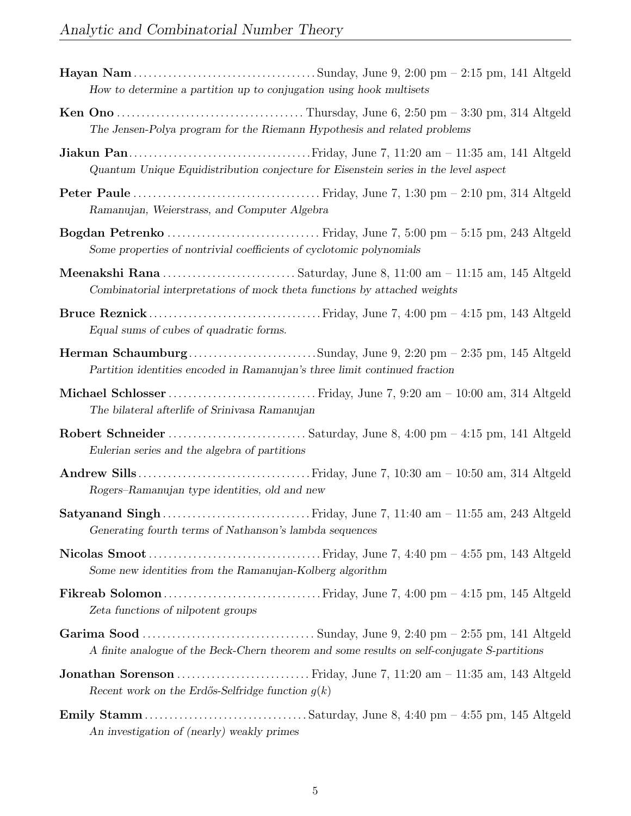| How to determine a partition up to conjugation using hook multisets                         |
|---------------------------------------------------------------------------------------------|
| The Jensen-Polya program for the Riemann Hypothesis and related problems                    |
| Quantum Unique Equidistribution conjecture for Eisenstein series in the level aspect        |
| Ramanujan, Weierstrass, and Computer Algebra                                                |
| Some properties of nontrivial coefficients of cyclotomic polynomials                        |
| Combinatorial interpretations of mock theta functions by attached weights                   |
| Equal sums of cubes of quadratic forms.                                                     |
| Partition identities encoded in Ramanujan's three limit continued fraction                  |
| The bilateral afterlife of Srinivasa Ramanujan                                              |
| Eulerian series and the algebra of partitions                                               |
| Rogers-Ramanujan type identities, old and new                                               |
| Generating fourth terms of Nathanson's lambda sequences                                     |
| Some new identities from the Ramanujan-Kolberg algorithm                                    |
| Zeta functions of nilpotent groups                                                          |
| A finite analogue of the Beck-Chern theorem and some results on self-conjugate S-partitions |
| Recent work on the Erdős-Selfridge function $g(k)$                                          |
| An investigation of (nearly) weakly primes                                                  |